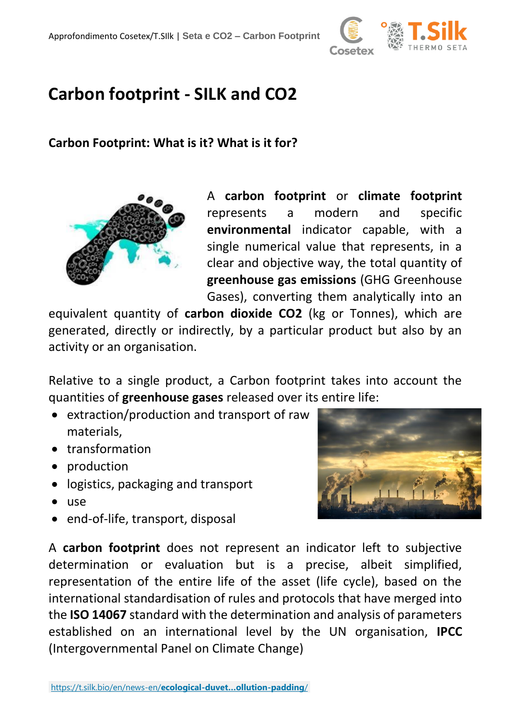

# **Carbon footprint - SILK and CO2**

#### **Carbon Footprint: What is it? What is it for?**



A **carbon footprint** or **climate footprint** represents a modern and specific **environmental** indicator capable, with a single numerical value that represents, in a clear and objective way, the total quantity of **greenhouse gas emissions** (GHG Greenhouse Gases), converting them analytically into an

equivalent quantity of **carbon dioxide CO2** (kg or Tonnes), which are generated, directly or indirectly, by a particular product but also by an activity or an organisation.

Relative to a single product, a Carbon footprint takes into account the quantities of **greenhouse gases** released over its entire life:

- extraction/production and transport of raw materials,
- transformation
- production
- logistics, packaging and transport
- use
- end-of-life, transport, disposal



A **carbon footprint** does not represent an indicator left to subjective determination or evaluation but is a precise, albeit simplified, representation of the entire life of the asset (life cycle), based on the international standardisation of rules and protocols that have merged into the **ISO 14067** standard with the determination and analysis of parameters established on an international level by the UN organisation, **IPCC** (Intergovernmental Panel on Climate Change)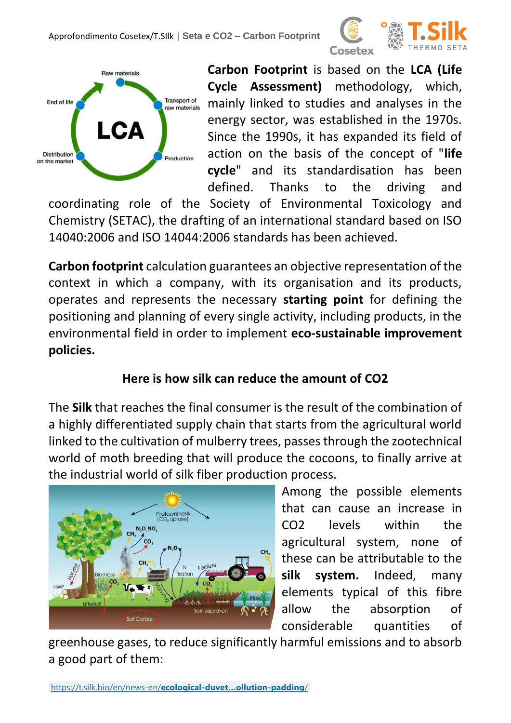



**Carbon Footprint** is based on the **LCA (Life Cycle Assessment)** methodology, which, mainly linked to studies and analyses in the energy sector, was established in the 1970s. Since the 1990s, it has expanded its field of action on the basis of the concept of "**life cycle**" and its standardisation has been defined. Thanks to the driving and

coordinating role of the Society of Environmental Toxicology and Chemistry (SETAC), the drafting of an international standard based on ISO 14040:2006 and ISO 14044:2006 standards has been achieved.

**Carbon footprint** calculation guarantees an objective representation of the context in which a company, with its organisation and its products, operates and represents the necessary **starting point** for defining the positioning and planning of every single activity, including products, in the environmental field in order to implement **eco-sustainable improvement policies.** 

#### **Here is how silk can reduce the amount of CO2**

The **Silk** that reaches the final consumer is the result of the combination of a highly differentiated supply chain that starts from the agricultural world linked to the cultivation of mulberry trees, passes through the zootechnical world of moth breeding that will produce the cocoons, to finally arrive at the industrial world of silk fiber production process.



Among the possible elements that can cause an increase in CO2 levels within the agricultural system, none of these can be attributable to the **silk system.** Indeed, many elements typical of this fibre allow the absorption of considerable quantities of

greenhouse gases, to reduce significantly harmful emissions and to absorb a good part of them: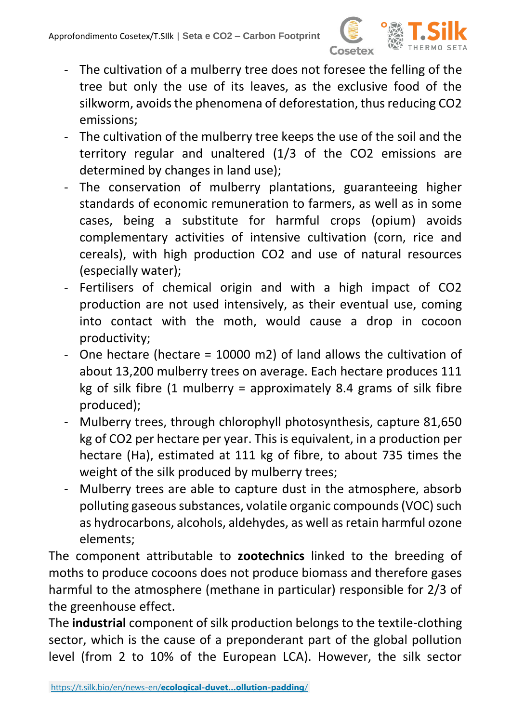

- The cultivation of a mulberry tree does not foresee the felling of the tree but only the use of its leaves, as the exclusive food of the silkworm, avoids the phenomena of deforestation, thus reducing CO2 emissions;
- The cultivation of the mulberry tree keeps the use of the soil and the territory regular and unaltered (1/3 of the CO2 emissions are determined by changes in land use);
- The conservation of mulberry plantations, guaranteeing higher standards of economic remuneration to farmers, as well as in some cases, being a substitute for harmful crops (opium) avoids complementary activities of intensive cultivation (corn, rice and cereals), with high production CO2 and use of natural resources (especially water);
- Fertilisers of chemical origin and with a high impact of CO2 production are not used intensively, as their eventual use, coming into contact with the moth, would cause a drop in cocoon productivity;
- One hectare (hectare = 10000 m2) of land allows the cultivation of about 13,200 mulberry trees on average. Each hectare produces 111 kg of silk fibre  $(1 \text{ multiperry}) = \text{approximately } 8.4 \text{ grams of silk fibre}$ produced);
- Mulberry trees, through chlorophyll photosynthesis, capture 81,650 kg of CO2 per hectare per year. This is equivalent, in a production per hectare (Ha), estimated at 111 kg of fibre, to about 735 times the weight of the silk produced by mulberry trees;
- Mulberry trees are able to capture dust in the atmosphere, absorb polluting gaseous substances, volatile organic compounds (VOC) such as hydrocarbons, alcohols, aldehydes, as well as retain harmful ozone elements;

The component attributable to **zootechnics** linked to the breeding of moths to produce cocoons does not produce biomass and therefore gases harmful to the atmosphere (methane in particular) responsible for 2/3 of the greenhouse effect.

The **industrial** component of silk production belongs to the textile-clothing sector, which is the cause of a preponderant part of the global pollution level (from 2 to 10% of the European LCA). However, the silk sector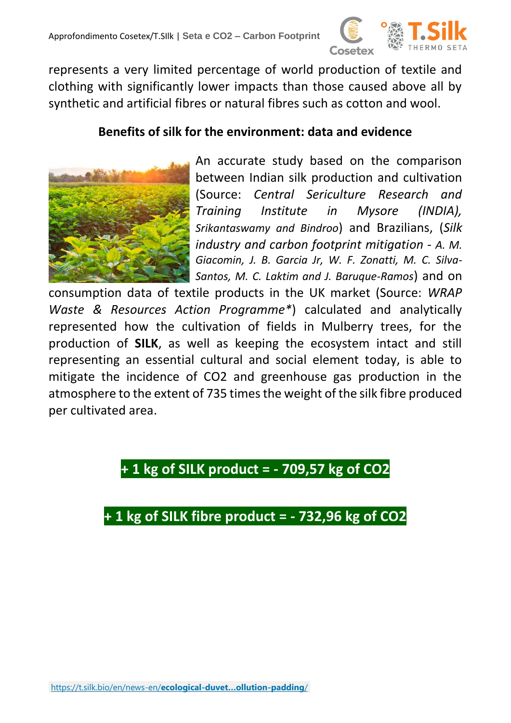

represents a very limited percentage of world production of textile and clothing with significantly lower impacts than those caused above all by synthetic and artificial fibres or natural fibres such as cotton and wool.

#### **Benefits of silk for the environment: data and evidence**



An accurate study based on the comparison between Indian silk production and cultivation (Source: *Central Sericulture Research and Training Institute in Mysore (INDIA), Srikantaswamy and Bindroo*) and Brazilians, (*Silk industry and carbon footprint mitigation - A. M. Giacomin, J. B. Garcia Jr, W. F. Zonatti, M. C. Silva-Santos, M. C. Laktim and J. Baruque-Ramos*) and on

consumption data of textile products in the UK market (Source: *WRAP Waste & Resources Action Programme\**) calculated and analytically represented how the cultivation of fields in Mulberry trees, for the production of **SILK**, as well as keeping the ecosystem intact and still representing an essential cultural and social element today, is able to mitigate the incidence of CO2 and greenhouse gas production in the atmosphere to the extent of 735 times the weight of the silk fibre produced per cultivated area.

### **+ 1 kg of SILK product = - 709,57 kg of CO2**

## **+ 1 kg of SILK fibre product = - 732,96 kg of CO2**